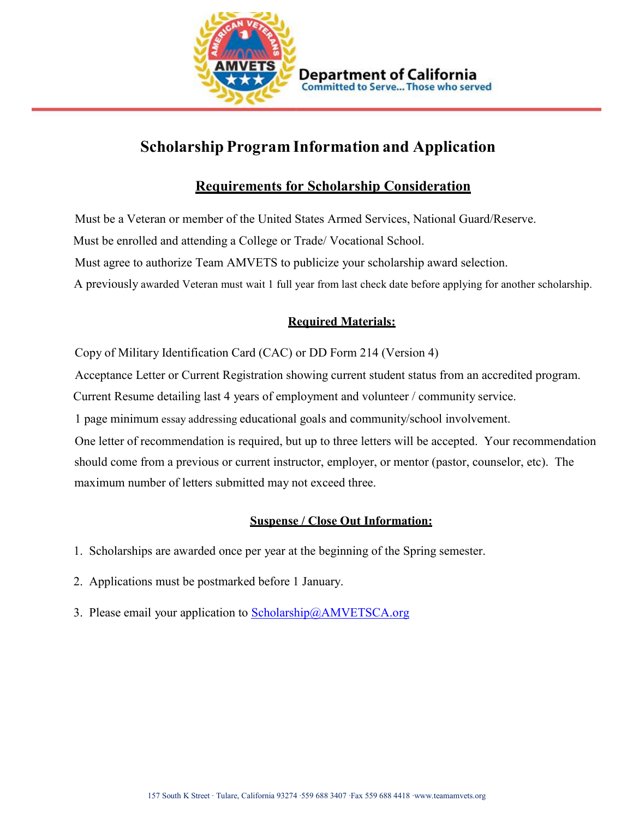

#### **Department of California Committed to Serve... Those who served**

# **Scholarship Program Information and Application**

## **Requirements for Scholarship Consideration**

 Must be a Veteran or member of the United States Armed Services, National Guard/Reserve. Must be enrolled and attending a College or Trade/ Vocational School. Must agree to authorize Team AMVETS to publicize your scholarship award selection. A previously awarded Veteran must wait 1 full year from last check date before applying for another scholarship.

### **Required Materials:**

Copy of Military Identification Card (CAC) or DD Form 214 (Version 4)

Acceptance Letter or Current Registration showing current student status from an accredited program.

Current Resume detailing last 4 years of employment and volunteer / community service.

1 page minimum essay addressing educational goals and community/school involvement.

 One letter of recommendation is required, but up to three letters will be accepted. Your recommendation should come from a previous or current instructor, employer, or mentor (pastor, counselor, etc). The maximum number of letters submitted may not exceed three.

#### **Suspense / Close Out Information:**

- 1. Scholarships are awarded once per year at the beginning of the Spring semester.
- 2. Applications must be postmarked before 1 January.
- 3. Please email your application to Scholarship@AMVETSCA.org